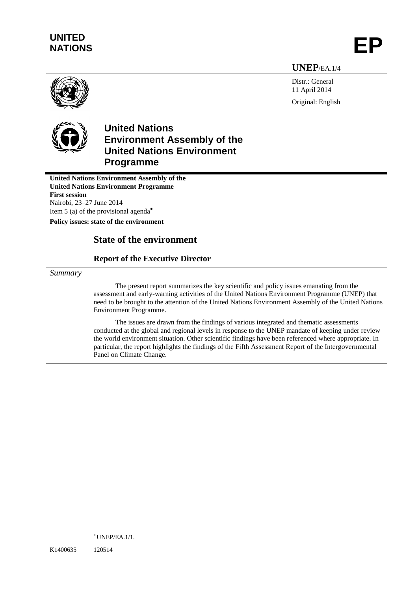# **UNITED** UNITED<br>NATIONS **EP**

**UNEP**/EA.1/4

Distr.: General 11 April 2014 Original: English





# **United Nations Environment Assembly of the United Nations Environment Programme**

**United Nations Environment Assembly of the United Nations Environment Programme First session** Nairobi, 23–27 June 2014 Item 5 (a) of the provisional agenda

**Policy issues: state of the environment**

# **State of the environment**

## **Report of the Executive Director**

#### *Summary*

The present report summarizes the key scientific and policy issues emanating from the assessment and early-warning activities of the United Nations Environment Programme (UNEP) that need to be brought to the attention of the United Nations Environment Assembly of the United Nations Environment Programme.

The issues are drawn from the findings of various integrated and thematic assessments conducted at the global and regional levels in response to the UNEP mandate of keeping under review the world environment situation. Other scientific findings have been referenced where appropriate. In particular, the report highlights the findings of the Fifth Assessment Report of the Intergovernmental Panel on Climate Change.

K1400635 120514

 $*$  UNEP/EA.1/1.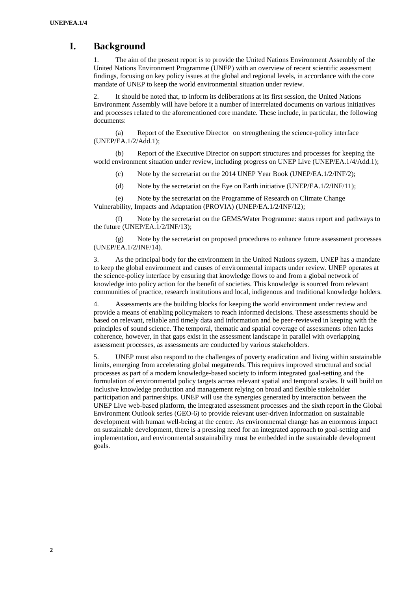# **I. Background**

1. The aim of the present report is to provide the United Nations Environment Assembly of the United Nations Environment Programme (UNEP) with an overview of recent scientific assessment findings, focusing on key policy issues at the global and regional levels, in accordance with the core mandate of UNEP to keep the world environmental situation under review.

2. It should be noted that, to inform its deliberations at its first session, the United Nations Environment Assembly will have before it a number of interrelated documents on various initiatives and processes related to the aforementioned core mandate. These include, in particular, the following documents:

(a) Report of the Executive Director on strengthening the science-policy interface (UNEP/EA.1/2/Add.1);

(b) Report of the Executive Director on support structures and processes for keeping the world environment situation under review, including progress on UNEP Live (UNEP/EA.1/4/Add.1);

(c) Note by the secretariat on the 2014 UNEP Year Book (UNEP/EA.1/2/INF/2);

(d) Note by the secretariat on the Eye on Earth initiative (UNEP/EA.1/2/INF/11);

(e) Note by the secretariat on the Programme of Research on Climate Change Vulnerability, Impacts and Adaptation (PROVIA) (UNEP/EA.1/2/INF/12);

(f) Note by the secretariat on the GEMS/Water Programme: status report and pathways to the future (UNEP/EA.1/2/INF/13);

(g) Note by the secretariat on proposed procedures to enhance future assessment processes (UNEP/EA.1/2/INF/14).

3. As the principal body for the environment in the United Nations system, UNEP has a mandate to keep the global environment and causes of environmental impacts under review. UNEP operates at the science-policy interface by ensuring that knowledge flows to and from a global network of knowledge into policy action for the benefit of societies. This knowledge is sourced from relevant communities of practice, research institutions and local, indigenous and traditional knowledge holders.

4. Assessments are the building blocks for keeping the world environment under review and provide a means of enabling policymakers to reach informed decisions. These assessments should be based on relevant, reliable and timely data and information and be peer-reviewed in keeping with the principles of sound science. The temporal, thematic and spatial coverage of assessments often lacks coherence, however, in that gaps exist in the assessment landscape in parallel with overlapping assessment processes, as assessments are conducted by various stakeholders.

5. UNEP must also respond to the challenges of poverty eradication and living within sustainable limits, emerging from accelerating global megatrends. This requires improved structural and social processes as part of a modern knowledge-based society to inform integrated goal-setting and the formulation of environmental policy targets across relevant spatial and temporal scales. It will build on inclusive knowledge production and management relying on broad and flexible stakeholder participation and partnerships. UNEP will use the synergies generated by interaction between the UNEP Live web-based platform, the integrated assessment processes and the sixth report in the Global Environment Outlook series (GEO-6) to provide relevant user-driven information on sustainable development with human well-being at the centre. As environmental change has an enormous impact on sustainable development, there is a pressing need for an integrated approach to goal-setting and implementation, and environmental sustainability must be embedded in the sustainable development goals.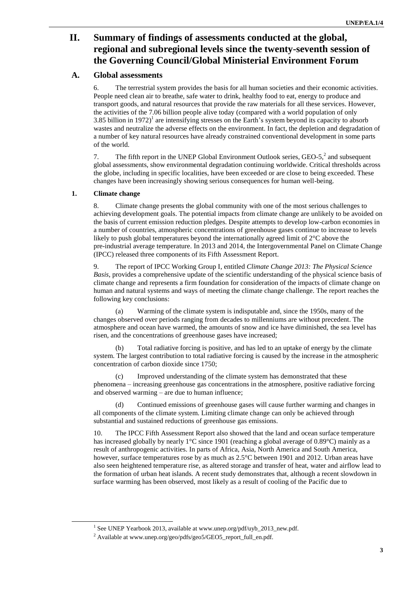# **II. Summary of findings of assessments conducted at the global, regional and subregional levels since the twenty-seventh session of the Governing Council/Global Ministerial Environment Forum**

### **A. Global assessments**

6. The terrestrial system provides the basis for all human societies and their economic activities. People need clean air to breathe, safe water to drink, healthy food to eat, energy to produce and transport goods, and natural resources that provide the raw materials for all these services. However, the activities of the 7.06 billion people alive today (compared with a world population of only 3.85 billion in 1972)<sup>1</sup> are intensifying stresses on the Earth's system beyond its capacity to absorb wastes and neutralize the adverse effects on the environment. In fact, the depletion and degradation of a number of key natural resources have already constrained conventional development in some parts of the world.

7. The fifth report in the UNEP Global Environment Outlook series,  $\text{GEO-5}$ <sup>2</sup> and subsequent global assessments, show environmental degradation continuing worldwide. Critical thresholds across the globe, including in specific localities, have been exceeded or are close to being exceeded. These changes have been increasingly showing serious consequences for human well-being.

### **1. Climate change**

 $\overline{a}$ 

8. Climate change presents the global community with one of the most serious challenges to achieving development goals. The potential impacts from climate change are unlikely to be avoided on the basis of current emission reduction pledges. Despite attempts to develop low-carbon economies in a number of countries, atmospheric concentrations of greenhouse gases continue to increase to levels likely to push global temperatures beyond the internationally agreed limit of 2°C above the pre-industrial average temperature. In 2013 and 2014, the Intergovernmental Panel on Climate Change (IPCC) released three components of its Fifth Assessment Report.

9. The report of IPCC Working Group I, entitled *Climate Change 2013: The Physical Science Basis*, provides a comprehensive update of the scientific understanding of the physical science basis of climate change and represents a firm foundation for consideration of the impacts of climate change on human and natural systems and ways of meeting the climate change challenge. The report reaches the following key conclusions:

(a) Warming of the climate system is indisputable and, since the 1950s, many of the changes observed over periods ranging from decades to millenniums are without precedent. The atmosphere and ocean have warmed, the amounts of snow and ice have diminished, the sea level has risen, and the concentrations of greenhouse gases have increased;

(b) Total radiative forcing is positive, and has led to an uptake of energy by the climate system. The largest contribution to total radiative forcing is caused by the increase in the atmospheric concentration of carbon dioxide since 1750;

Improved understanding of the climate system has demonstrated that these phenomena – increasing greenhouse gas concentrations in the atmosphere, positive radiative forcing and observed warming – are due to human influence;

(d) Continued emissions of greenhouse gases will cause further warming and changes in all components of the climate system. Limiting climate change can only be achieved through substantial and sustained reductions of greenhouse gas emissions.

10. The IPCC Fifth Assessment Report also showed that the land and ocean surface temperature has increased globally by nearly 1°C since 1901 (reaching a global average of 0.89°C) mainly as a result of anthropogenic activities. In parts of Africa, Asia, North America and South America, however, surface temperatures rose by as much as  $2.5^{\circ}$ C between 1901 and 2012. Urban areas have also seen heightened temperature rise, as altered storage and transfer of heat, water and airflow lead to the formation of urban heat islands. A recent study demonstrates that, although a recent slowdown in surface warming has been observed, most likely as a result of cooling of the Pacific due to

<sup>&</sup>lt;sup>1</sup> See UNEP Yearbook 2013, available at www.unep.org/pdf/uyb\_2013\_new.pdf.

<sup>2</sup> Available at www.unep.org/geo/pdfs/geo5/GEO5\_report\_full\_en.pdf.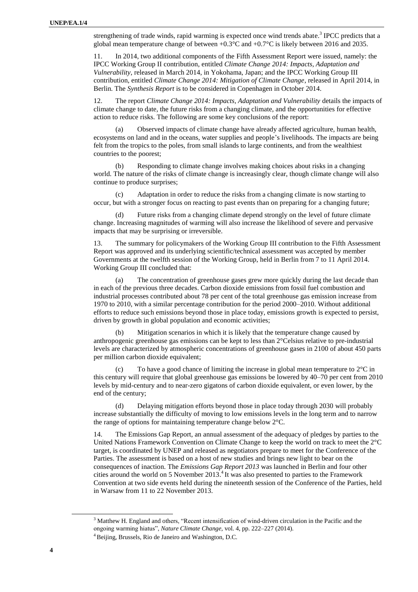strengthening of trade winds, rapid warming is expected once wind trends abate.<sup>3</sup> IPCC predicts that a global mean temperature change of between  $+0.3^{\circ}$ C and  $+0.7^{\circ}$ C is likely between 2016 and 2035.

11. In 2014, two additional components of the Fifth Assessment Report were issued, namely: the IPCC Working Group II contribution, entitled *Climate Change 2014: Impacts, Adaptation and Vulnerability*, released in March 2014, in Yokohama, Japan; and the IPCC Working Group III contribution, entitled *Climate Change 2014: Mitigation of Climate Change*, released in April 2014, in Berlin. The *Synthesis Report* is to be considered in Copenhagen in October 2014.

12. The report *Climate Change 2014: Impacts, Adaptation and Vulnerability* details the impacts of climate change to date, the future risks from a changing climate, and the opportunities for effective action to reduce risks. The following are some key conclusions of the report:

(a) Observed impacts of climate change have already affected agriculture, human health, ecosystems on land and in the oceans, water supplies and people"s livelihoods. The impacts are being felt from the tropics to the poles, from small islands to large continents, and from the wealthiest countries to the poorest;

(b) Responding to climate change involves making choices about risks in a changing world. The nature of the risks of climate change is increasingly clear, though climate change will also continue to produce surprises;

(c) Adaptation in order to reduce the risks from a changing climate is now starting to occur, but with a stronger focus on reacting to past events than on preparing for a changing future;

Future risks from a changing climate depend strongly on the level of future climate change. Increasing magnitudes of warming will also increase the likelihood of severe and pervasive impacts that may be surprising or irreversible.

13. The summary for policymakers of the Working Group III contribution to the Fifth Assessment Report was approved and its underlying scientific/technical assessment was accepted by member Governments at the twelfth session of the Working Group, held in Berlin from 7 to 11 April 2014. Working Group III concluded that:

(a) The concentration of greenhouse gases grew more quickly during the last decade than in each of the previous three decades. Carbon dioxide emissions from fossil fuel combustion and industrial processes contributed about 78 per cent of the total greenhouse gas emission increase from 1970 to 2010, with a similar percentage contribution for the period 2000–2010. Without additional efforts to reduce such emissions beyond those in place today, emissions growth is expected to persist, driven by growth in global population and economic activities;

(b) Mitigation scenarios in which it is likely that the temperature change caused by anthropogenic greenhouse gas emissions can be kept to less than 2°Celsius relative to pre-industrial levels are characterized by atmospheric concentrations of greenhouse gases in 2100 of about 450 parts per million carbon dioxide equivalent;

(c) To have a good chance of limiting the increase in global mean temperature to  $2^{\circ}$ C in this century will require that global greenhouse gas emissions be lowered by 40–70 per cent from 2010 levels by mid-century and to near-zero gigatons of carbon dioxide equivalent, or even lower, by the end of the century;

(d) Delaying mitigation efforts beyond those in place today through 2030 will probably increase substantially the difficulty of moving to low emissions levels in the long term and to narrow the range of options for maintaining temperature change below 2°C.

14. The Emissions Gap Report, an annual assessment of the adequacy of pledges by parties to the United Nations Framework Convention on Climate Change to keep the world on track to meet the 2°C target, is coordinated by UNEP and released as negotiators prepare to meet for the Conference of the Parties. The assessment is based on a host of new studies and brings new light to bear on the consequences of inaction. The *Emissions Gap Report 2013* was launched in Berlin and four other cities around the world on 5 November  $2013.<sup>4</sup>$  It was also presented to parties to the Framework Convention at two side events held during the nineteenth session of the Conference of the Parties, held in Warsaw from 11 to 22 November 2013.

<sup>&</sup>lt;sup>3</sup> Matthew H. England and others, "Recent intensification of wind-driven circulation in the Pacific and the ongoing warming hiatus", *Nature Climate Change*, vol. 4, pp. 222–227 (2014).

 $4$  Beijing, Brussels, Rio de Janeiro and Washington, D.C.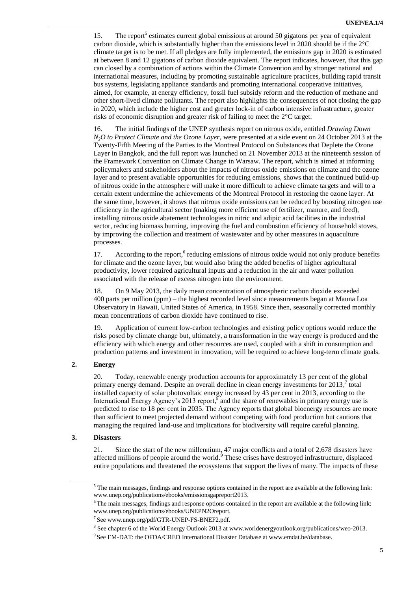15. The report<sup>5</sup> estimates current global emissions at around 50 gigatons per year of equivalent carbon dioxide, which is substantially higher than the emissions level in 2020 should be if the 2°C climate target is to be met. If all pledges are fully implemented, the emissions gap in 2020 is estimated at between 8 and 12 gigatons of carbon dioxide equivalent. The report indicates, however, that this gap can closed by a combination of actions within the Climate Convention and by stronger national and international measures, including by promoting sustainable agriculture practices, building rapid transit bus systems, legislating appliance standards and promoting international cooperative initiatives, aimed, for example, at energy efficiency, fossil fuel subsidy reform and the reduction of methane and other short-lived climate pollutants. The report also highlights the consequences of not closing the gap in 2020, which include the higher cost and greater lock-in of carbon intensive infrastructure, greater risks of economic disruption and greater risk of failing to meet the 2°C target.

16. The initial findings of the UNEP synthesis report on nitrous oxide, entitled *Drawing Down N2O to Protect Climate and the Ozone Layer*, were presented at a side event on 24 October 2013 at the Twenty-Fifth Meeting of the Parties to the Montreal Protocol on Substances that Deplete the Ozone Layer in Bangkok, and the full report was launched on 21 November 2013 at the nineteenth session of the Framework Convention on Climate Change in Warsaw. The report, which is aimed at informing policymakers and stakeholders about the impacts of nitrous oxide emissions on climate and the ozone layer and to present available opportunities for reducing emissions, shows that the continued build-up of nitrous oxide in the atmosphere will make it more difficult to achieve climate targets and will to a certain extent undermine the achievements of the Montreal Protocol in restoring the ozone layer. At the same time, however, it shows that nitrous oxide emissions can be reduced by boosting nitrogen use efficiency in the agricultural sector (making more efficient use of fertilizer, manure, and feed), installing nitrous oxide abatement technologies in nitric and adipic acid facilities in the industrial sector, reducing biomass burning, improving the fuel and combustion efficiency of household stoves, by improving the collection and treatment of wastewater and by other measures in aquaculture processes.

17. According to the report,<sup>6</sup> reducing emissions of nitrous oxide would not only produce benefits for climate and the ozone layer, but would also bring the added benefits of higher agricultural productivity, lower required agricultural inputs and a reduction in the air and water pollution associated with the release of excess nitrogen into the environment.

18. On 9 May 2013, the daily mean concentration of atmospheric carbon dioxide exceeded 400 parts per million (ppm) – the highest recorded level since measurements began at Mauna Loa Observatory in Hawaii, United States of America, in 1958. Since then, seasonally corrected monthly mean concentrations of carbon dioxide have continued to rise.

19. Application of current low-carbon technologies and existing policy options would reduce the risks posed by climate change but, ultimately, a transformation in the way energy is produced and the efficiency with which energy and other resources are used, coupled with a shift in consumption and production patterns and investment in innovation, will be required to achieve long-term climate goals.

#### **2. Energy**

20. Today, renewable energy production accounts for approximately 13 per cent of the global primary energy demand. Despite an overall decline in clean energy investments for 2013,<sup>7</sup> total installed capacity of solar photovoltaic energy increased by 43 per cent in 2013, according to the International Energy Agency's 2013 report,  $\frac{8}{3}$  and the share of renewables in primary energy use is predicted to rise to 18 per cent in 2035. The Agency reports that global bioenergy resources are more than sufficient to meet projected demand without competing with food production but cautions that managing the required land-use and implications for biodiversity will require careful planning.

#### **3. Disasters**

 $\overline{a}$ 

21. Since the start of the new millennium, 47 major conflicts and a total of 2,678 disasters have affected millions of people around the world.<sup>9</sup> These crises have destroyed infrastructure, displaced entire populations and threatened the ecosystems that support the lives of many. The impacts of these

<sup>&</sup>lt;sup>5</sup> The main messages, findings and response options contained in the report are available at the following link: www.unep.org/publications/ebooks/emissionsgapreport2013.

<sup>&</sup>lt;sup>6</sup> The main messages, findings and response options contained in the report are available at the following link: www.unep.org/publications/ebooks/UNEPN2Oreport.

<sup>&</sup>lt;sup>7</sup> See www.unep.org/pdf/GTR-UNEP-FS-BNEF2.pdf.

<sup>&</sup>lt;sup>8</sup> See chapter 6 of the World Energy Outlook 2013 at www.worldenergyoutlook.org/publications/weo-2013.

<sup>&</sup>lt;sup>9</sup> See EM-DAT: the OFDA/CRED International Disaster Database at www.emdat.be/database.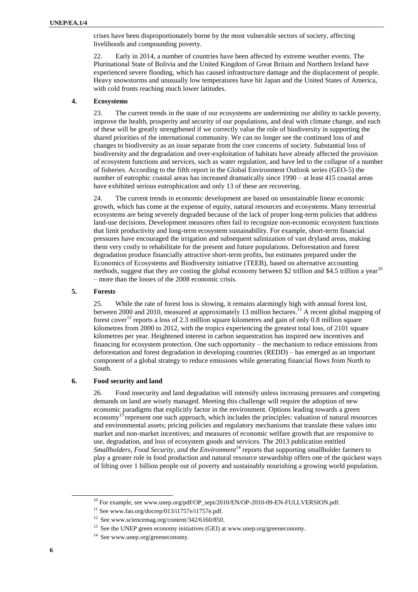crises have been disproportionately borne by the most vulnerable sectors of society, affecting livelihoods and compounding poverty.

22. Early in 2014, a number of countries have been affected by extreme weather events. The Plurinational State of Bolivia and the United Kingdom of Great Britain and Northern Ireland have experienced severe flooding, which has caused infrastructure damage and the displacement of people. Heavy snowstorms and unusually low temperatures have hit Japan and the United States of America, with cold fronts reaching much lower latitudes.

#### **4. Ecosystems**

23. The current trends in the state of our ecosystems are undermining our ability to tackle poverty, improve the health, prosperity and security of our populations, and deal with climate change, and each of these will be greatly strengthened if we correctly value the role of biodiversity in supporting the shared priorities of the international community. We can no longer see the continued loss of and changes to biodiversity as an issue separate from the core concerns of society. Substantial loss of biodiversity and the degradation and over-exploitation of habitats have already affected the provision of ecosystem functions and services, such as water regulation, and have led to the collapse of a number of fisheries. According to the fifth report in the Global Environment Outlook series (GEO-5) the number of eutrophic coastal areas has increased dramatically since 1990 – at least 415 coastal areas have exhibited serious eutrophication and only 13 of these are recovering.

24. The current trends in economic development are based on unsustainable linear economic growth, which has come at the expense of equity, natural resources and ecosystems. Many terrestrial ecosystems are being severely degraded because of the lack of proper long-term policies that address land-use decisions. Development measures often fail to recognize non-economic ecosystem functions that limit productivity and long-term ecosystem sustainability. For example, short-term financial pressures have encouraged the irrigation and subsequent salinization of vast dryland areas, making them very costly to rehabilitate for the present and future populations. Deforestation and forest degradation produce financially attractive short-term profits, but estimates prepared under the Economics of Ecosystems and Biodiversity initiative (TEEB), based on alternative accounting methods, suggest that they are costing the global economy between \$2 trillion and \$4.5 trillion a year<sup>10</sup> – more than the losses of the 2008 economic crisis.

#### **5. Forests**

25. While the rate of forest loss is slowing, it remains alarmingly high with annual forest lost, between 2000 and 2010, measured at approximately 13 million hectares.<sup>11</sup> A recent global mapping of forest cover<sup>12</sup> reports a loss of 2.3 million square kilometres and gain of only 0.8 million square kilometres from 2000 to 2012, with the tropics experiencing the greatest total loss, of 2101 square kilometres per year. Heightened interest in carbon sequestration has inspired new incentives and financing for ecosystem protection. One such opportunity – the mechanism to reduce emissions from deforestation and forest degradation in developing countries (REDD) – has emerged as an important component of a global strategy to reduce emissions while generating financial flows from North to South.

#### **6. Food security and land**

26. Food insecurity and land degradation will intensify unless increasing pressures and competing demands on land are wisely managed. Meeting this challenge will require the adoption of new economic paradigms that explicitly factor in the environment. Options leading towards a green economy<sup>13</sup> represent one such approach, which includes the principles: valuation of natural resources and environmental assets; pricing policies and regulatory mechanisms that translate these values into market and non-market incentives; and measures of economic welfare growth that are responsive to use, degradation, and loss of ecosystem goods and services. The 2013 publication entitled *Smallholders, Food Security, and the Environment*<sup>14</sup> reports that supporting smallholder farmers to play a greater role in food production and natural resource stewardship offers one of the quickest ways of lifting over 1 billion people out of poverty and sustainably nourishing a growing world population.

<sup>&</sup>lt;sup>10</sup> For example, see www.unep.org/pdf/OP\_sept/2010/EN/OP-2010-09-EN-FULLVERSION.pdf.

 $11$  See www.fao.org/docrep/013/i1757e/i1757e.pdf.

<sup>&</sup>lt;sup>12</sup> See www.sciencemag.org/content/342/6160/850.

 $13$  See the UNEP green economy initiatives (GEI) at www.unep.org/greeneconomy.

<sup>14</sup> See www.unep.org/greeneconomy.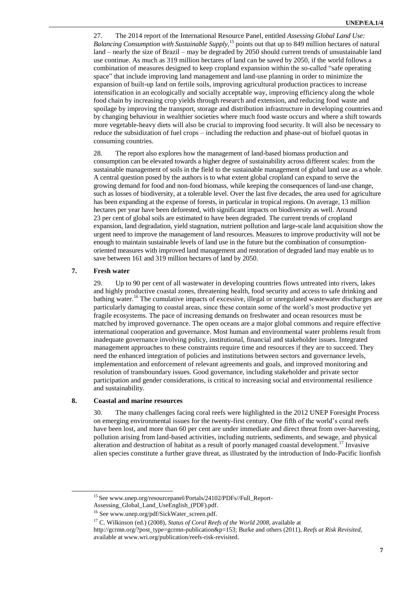27. The 2014 report of the International Resource Panel, entitled *Assessing Global Land Use: Balancing Consumption with Sustainable Supply,* <sup>15</sup> points out that up to 849 million hectares of natural land – nearly the size of Brazil – may be degraded by 2050 should current trends of unsustainable land use continue. As much as 319 million hectares of land can be saved by 2050, if the world follows a combination of measures designed to keep cropland expansion within the so-called "safe operating space" that include improving land management and land-use planning in order to minimize the expansion of built-up land on fertile soils, improving agricultural production practices to increase intensification in an ecologically and socially acceptable way, improving efficiency along the whole food chain by increasing crop yields through research and extension, and reducing food waste and spoilage by improving the transport, storage and distribution infrastructure in developing countries and by changing behaviour in wealthier societies where much food waste occurs and where a shift towards more vegetable-heavy diets will also be crucial to improving food security. It will also be necessary to reduce the subsidization of fuel crops – including the reduction and phase-out of biofuel quotas in consuming countries.

28. The report also explores how the management of land-based biomass production and consumption can be elevated towards a higher degree of sustainability across different scales: from the sustainable management of soils in the field to the sustainable management of global land use as a whole. A central question posed by the authors is to what extent global cropland can expand to serve the growing demand for food and non-food biomass, while keeping the consequences of land-use change, such as losses of biodiversity, at a tolerable level. Over the last five decades, the area used for agriculture has been expanding at the expense of forests, in particular in tropical regions. On average, 13 million hectares per year have been deforested, with significant impacts on biodiversity as well. Around 23 per cent of global soils are estimated to have been degraded. The current trends of cropland expansion, land degradation, yield stagnation, nutrient pollution and large-scale land acquisition show the urgent need to improve the management of land resources. Measures to improve productivity will not be enough to maintain sustainable levels of land use in the future but the combination of consumptionoriented measures with improved land management and restoration of degraded land may enable us to save between 161 and 319 million hectares of land by 2050.

#### **7. Fresh water**

 $\overline{a}$ 

29. Up to 90 per cent of all wastewater in developing countries flows untreated into rivers, lakes and highly productive coastal zones, threatening health, food security and access to safe drinking and bathing water.<sup>16</sup> The cumulative impacts of excessive, illegal or unregulated wastewater discharges are particularly damaging to coastal areas, since these contain some of the world"s most productive yet fragile ecosystems. The pace of increasing demands on freshwater and ocean resources must be matched by improved governance. The open oceans are a major global commons and require effective international cooperation and governance. Most human and environmental water problems result from inadequate governance involving policy, institutional, financial and stakeholder issues. Integrated management approaches to these constraints require time and resources if they are to succeed. They need the enhanced integration of policies and institutions between sectors and governance levels, implementation and enforcement of relevant agreements and goals, and improved monitoring and resolution of transboundary issues. Good governance, including stakeholder and private sector participation and gender considerations, is critical to increasing social and environmental resilience and sustainability.

#### **8. Coastal and marine resources**

30. The many challenges facing coral reefs were highlighted in the 2012 UNEP Foresight Process on emerging environmental issues for the twenty-first century. One fifth of the world"s coral reefs have been lost, and more than 60 per cent are under immediate and direct threat from over-harvesting, pollution arising from land-based activities, including nutrients, sediments, and sewage, and physical alteration and destruction of habitat as a result of poorly managed coastal development. <sup>17</sup> Invasive alien species constitute a further grave threat, as illustrated by the introduction of Indo-Pacific lionfish

[http://gcrmn.org/?post\\_type=gcrmn-publication&p=153;](http://gcrmn.org/?post_type=gcrmn-publication&p=153) Burke and others (2011), *Reefs at Risk Revisited*, available at www.wri.org/publication/reefs-risk-revisited.

<sup>15</sup> See www.unep.org/resourcepanel/Portals/24102/PDFs//Full\_Report-

Assessing Global Land UseEnglish (PDF).pdf.

<sup>16</sup> See www.unep.org/pdf/SickWater\_screen.pdf.

<sup>17</sup> C. Wilkinson (ed.) (2008), *Status of Coral Reefs of the World 2008*, available at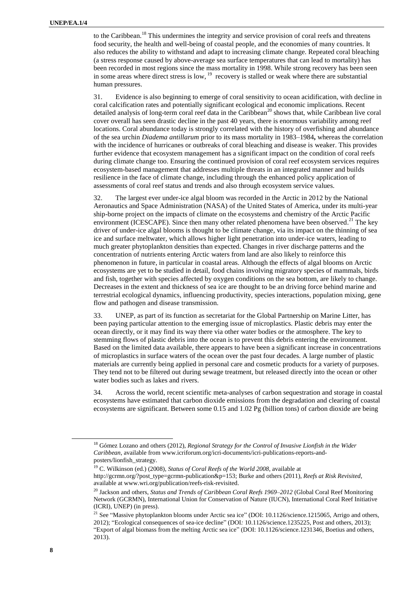to the Caribbean.<sup>18</sup> This undermines the integrity and service provision of coral reefs and threatens food security, the health and well-being of coastal people, and the economies of many countries. It also reduces the ability to withstand and adapt to increasing climate change. Repeated coral bleaching (a stress response caused by above-average sea surface temperatures that can lead to mortality) has been recorded in most regions since the mass mortality in 1998. While strong recovery has been seen in some areas where direct stress is low,  $19$  recovery is stalled or weak where there are substantial human pressures.

31. Evidence is also beginning to emerge of coral sensitivity to ocean acidification, with decline in coral calcification rates and potentially significant ecological and economic implications. Recent detailed analysis of long-term coral reef data in the Caribbean<sup>20</sup> shows that, while Caribbean live coral cover overall has seen drastic decline in the past 40 years, there is enormous variability among reef locations. Coral abundance today is strongly correlated with the history of overfishing and abundance of the sea urchin *Diadema antillarum* prior to its mass mortality in 1983–1984**,** whereas the correlation with the incidence of hurricanes or outbreaks of coral bleaching and disease is weaker. This provides further evidence that ecosystem management has a significant impact on the condition of coral reefs during climate change too. Ensuring the continued provision of coral reef ecosystem services requires ecosystem-based management that addresses multiple threats in an integrated manner and builds resilience in the face of climate change, including through the enhanced policy application of assessments of coral reef status and trends and also through ecosystem service values.

32. The largest ever under-ice algal bloom was recorded in the Arctic in 2012 by the National Aeronautics and Space Administration (NASA) of the United States of America, under its multi-year ship-borne project on the impacts of climate on the ecosystems and chemistry of the Arctic Pacific environment [\(ICESCAPE\)](https://www.espo.nasa.gov/icescape/). Since then many other related phenomena have been observed.<sup>21</sup> The key driver of under-ice algal blooms is thought to be climate change, via its impact on the thinning of sea ice and surface meltwater, which allows higher light penetration into under-ice waters, leading to much greater phytoplankton densities than expected. Changes in river discharge patterns and the concentration of nutrients entering Arctic waters from land are also likely to reinforce this phenomenon in future, in particular in coastal areas. Although the effects of algal blooms on Arctic ecosystems are yet to be studied in detail, food chains involving migratory species of mammals, birds and fish, together with species affected by oxygen conditions on the sea bottom, are likely to change. Decreases in the extent and thickness of sea ice are thought to be an driving force behind marine and terrestrial ecological dynamics, influencing productivity, species interactions, population mixing, gene flow and pathogen and disease transmission.

33. UNEP, as part of its function as secretariat for the Global Partnership on Marine Litter, has been paying particular attention to the emerging issue of microplastics. Plastic debris may enter the ocean directly, or it may find its way there via other water bodies or the atmosphere. The key to stemming flows of plastic debris into the ocean is to prevent this debris entering the environment. Based on the limited data available, there appears to have been a significant increase in concentrations of microplastics in surface waters of the ocean over the past four decades. A large number of plastic materials are currently being applied in personal care and cosmetic products for a variety of purposes. They tend not to be filtered out during sewage treatment, but released directly into the ocean or other water bodies such as lakes and rivers.

34. Across the world, recent scientific meta-analyses of carbon sequestration and storage in coastal ecosystems have estimated that carbon dioxide emissions from the degradation and clearing of coastal ecosystems are significant. Between some 0.15 and 1.02 Pg (billion tons) of carbon dioxide are being

<sup>18</sup> Gómez Lozano and others (2012), *Regional Strategy for the Control of Invasive Lionfish in the Wider Caribbean*, available from www.icriforum.org/icri-documents/icri-publications-reports-andposters/lionfish\_strategy.

<sup>19</sup> C. Wilkinson (ed.) (2008), *Status of Coral Reefs of the World 2008*, available at

[http://gcrmn.org/?post\\_type=gcrmn-publication&p=153;](http://gcrmn.org/?post_type=gcrmn-publication&p=153) Burke and others (2011), *Reefs at Risk Revisited*, available at www.wri.org/publication/reefs-risk-revisited.

<sup>20</sup> Jackson and others, *Status and Trends of Caribbean Coral Reefs 1969–2012* (Global Coral Reef Monitoring Network (GCRMN), International Union for Conservation of Nature (IUCN), International Coral Reef Initiative (ICRI), UNEP) (in press).

<sup>&</sup>lt;sup>21</sup> See ["Massive phytoplankton blooms under Arctic sea ice"](http://www.sciencemag.org/content/336/6087/1408) (DOI: 10.1126/science.1215065, Arrigo and others, 2012); ["Ecological consequences of sea-ice decline"](http://www.sciencemag.org/content/341/6145/519.abstract) (DOI*:* 10.1126/science.1235225, Post and others, 2013); ["Export of algal biomass from the melting Arctic sea ice"](http://www.sciencemag.org/content/336/6087/1408) (DOI: 10.1126/science.1231346, Boetius and others, 2013).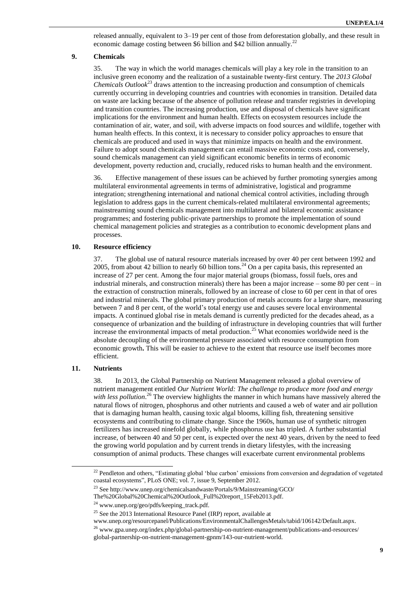released annually, equivalent to 3–19 per cent of those from deforestation globally, and these result in economic damage costing between \$6 billion and \$42 billion annually.<sup>22</sup>

#### **9. Chemicals**

35. The way in which the world manages chemicals will play a key role in the transition to an inclusive green economy and the realization of a sustainable twenty-first century. The *2013 Global Chemicals Outlook*<sup>23</sup> draws attention to the increasing production and consumption of chemicals currently occurring in developing countries and countries with economies in transition. Detailed data on waste are lacking because of the absence of pollution release and transfer registries in developing and transition countries. The increasing production, use and disposal of chemicals have significant implications for the environment and human health. Effects on ecosystem resources include the contamination of air, water, and soil, with adverse impacts on food sources and wildlife, together with human health effects. In this context, it is necessary to consider policy approaches to ensure that chemicals are produced and used in ways that minimize impacts on health and the environment. Failure to adopt sound chemicals management can entail massive economic costs and, conversely, sound chemicals management can yield significant economic benefits in terms of economic development, poverty reduction and, crucially, reduced risks to human health and the environment.

36. Effective management of these issues can be achieved by further promoting synergies among multilateral environmental agreements in terms of administrative, logistical and programme integration; strengthening international and national chemical control activities, including through legislation to address gaps in the current chemicals-related multilateral environmental agreements; mainstreaming sound chemicals management into multilateral and bilateral economic assistance programmes; and fostering public-private partnerships to promote the implementation of sound chemical management policies and strategies as a contribution to economic development plans and processes.

#### **10. Resource efficiency**

37. The global use of natural resource materials increased by over 40 per cent between 1992 and 2005, from about 42 billion to nearly 60 billion tons.<sup>24</sup> On a per capita basis, this represented an increase of 27 per cent. Among the four major material groups (biomass, fossil fuels, ores and industrial minerals, and construction minerals) there has been a major increase – some 80 per cent – in the extraction of construction minerals, followed by an increase of close to 60 per cent in that of ores and industrial minerals. The global primary production of metals accounts for a large share, measuring between 7 and 8 per cent, of the world"s total energy use and causes severe local environmental impacts. A continued global rise in metals demand is currently predicted for the decades ahead, as a consequence of urbanization and the building of infrastructure in developing countries that will further increase the environmental impacts of metal production. <sup>25</sup> What economies worldwide need is the absolute decoupling of the environmental pressure associated with resource consumption from economic growth**.** This will be easier to achieve to the extent that resource use itself becomes more efficient.

#### **11. Nutrients**

 $\overline{a}$ 

38. In 2013, the Global Partnership on Nutrient Management released a global overview of nutrient management entitled *Our Nutrient World: The challenge to produce more food and energy*  with less pollution.<sup>26</sup> The overview highlights the manner in which humans have massively altered the natural flows of nitrogen, phosphorus and other nutrients and caused a web of water and air pollution that is damaging human health, causing toxic algal blooms, killing fish, threatening sensitive ecosystems and contributing to climate change. Since the 1960s, human use of synthetic nitrogen fertilizers has increased ninefold globally, while phosphorus use has tripled. A further substantial increase, of between 40 and 50 per cent, is expected over the next 40 years, driven by the need to feed the growing world population and by current trends in dietary lifestyles, with the increasing consumption of animal products. These changes will exacerbate current environmental problems

<sup>&</sup>lt;sup>22</sup> Pendleton and others, "Estimating global 'blue carbon' emissions from conversion and degradation of vegetated coastal ecosystems", PLoS ONE; vol. 7, issue 9, September 2012.

<sup>23</sup> See http://www.unep.org/chemicalsandwaste/Portals/9/Mainstreaming/GCO/

The%20Global%20Chemical%20Outlook\_Full%20report\_15Feb2013.pdf.

<sup>24</sup> www.unep.org/geo/pdfs/keeping\_track.pdf.

 $25$  See the 2013 International Resource Panel (IRP) report, available at

www.unep.org/resourcepanel/Publications/EnvironmentalChallengesMetals/tabid/106142/Default.aspx.

<sup>&</sup>lt;sup>26</sup> [www.gpa.unep.org/index.php/global-partnership-on-nutrient-management/publications-and-resources/](http://www.gpa.unep.org/index.php/global-partnership-on-nutrient-management/publications-and-resources/%0bglobal-partnership-on-nutrient-management-gpnm/143-our-nutrient-world) [global-partnership-on-nutrient-management-gpnm/143-our-nutrient-world.](http://www.gpa.unep.org/index.php/global-partnership-on-nutrient-management/publications-and-resources/%0bglobal-partnership-on-nutrient-management-gpnm/143-our-nutrient-world)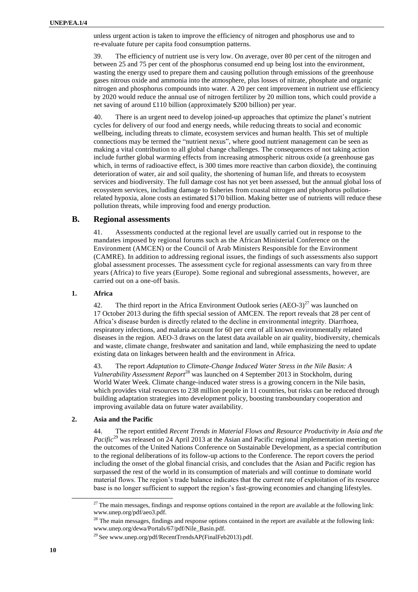unless urgent action is taken to improve the efficiency of nitrogen and phosphorus use and to re-evaluate future per capita food consumption patterns.

39. The efficiency of nutrient use is very low. On average, over 80 per cent of the nitrogen and between 25 and 75 per cent of the phosphorus consumed end up being lost into the environment, wasting the energy used to prepare them and causing pollution through emissions of the greenhouse gases nitrous oxide and ammonia into the atmosphere, plus losses of nitrate, phosphate and organic nitrogen and phosphorus compounds into water. A 20 per cent improvement in nutrient use efficiency by 2020 would reduce the annual use of nitrogen fertilizer by 20 million tons, which could provide a net saving of around £110 billion (approximately \$200 billion) per year.

40. There is an urgent need to develop joined-up approaches that optimize the planet"s nutrient cycles for delivery of our food and energy needs, while reducing threats to social and economic wellbeing, including threats to climate, ecosystem services and human health. This set of multiple connections may be termed the "nutrient nexus", where good nutrient management can be seen as making a vital contribution to all global change challenges. The consequences of not taking action include further global warming effects from increasing atmospheric nitrous oxide (a greenhouse gas which, in terms of radioactive effect, is 300 times more reactive than carbon dioxide), the continuing deterioration of water, air and soil quality, the shortening of human life, and threats to ecosystem services and biodiversity. The full damage cost has not yet been assessed, but the annual global loss of ecosystem services, including damage to fisheries from coastal nitrogen and phosphorus pollutionrelated hypoxia, alone costs an estimated \$170 billion. Making better use of nutrients will reduce these pollution threats, while improving food and energy production.

#### **B. Regional assessments**

41. Assessments conducted at the regional level are usually carried out in response to the mandates imposed by regional forums such as the African Ministerial Conference on the Environment (AMCEN) or the Council of Arab Ministers Responsible for the Environment (CAMRE). In addition to addressing regional issues, the findings of such assessments also support global assessment processes. The assessment cycle for regional assessments can vary from three years (Africa) to five years (Europe). Some regional and subregional assessments, however, are carried out on a one-off basis.

#### **1. Africa**

42. The third report in the Africa Environment Outlook series  $(ABO-3)^{27}$  was launched on 17 October 2013 during the fifth special session of AMCEN. The report reveals that 28 per cent of Africa"s disease burden is directly related to the decline in environmental integrity. Diarrhoea, respiratory infections, and malaria account for 60 per cent of all known environmentally related diseases in the region. AEO-3 draws on the latest data available on air quality, biodiversity, chemicals and waste, climate change, freshwater and sanitation and land, while emphasizing the need to update existing data on linkages between health and the environment in Africa.

43. The report *Adaptation to Climate-Change Induced Water Stress in the Nile Basin: A Vulnerability Assessment Report*<sup>28</sup> was launched on 4 September 2013 in Stockholm, during World Water Week. Climate change-induced water stress is a growing concern in the Nile basin, which provides vital resources to 238 million people in 11 countries, but risks can be reduced through building adaptation strategies into development policy, boosting transboundary cooperation and improving available data on future water availability.

#### **2. Asia and the Pacific**

44. The report entitled *Recent Trends in Material Flows and Resource Productivity in Asia and the Pacific*<sup>29</sup> was released on 24 April 2013 at the Asian and Pacific regional implementation meeting on the outcomes of the United Nations Conference on Sustainable Development, as a special contribution to the regional deliberations of its follow-up actions to the Conference. The report covers the period including the onset of the global financial crisis, and concludes that the Asian and Pacific region has surpassed the rest of the world in its consumption of materials and will continue to dominate world material flows. The region"s trade balance indicates that the current rate of exploitation of its resource base is no longer sufficient to support the region"s fast-growing economies and changing lifestyles.

 $27$  The main messages, findings and response options contained in the report are available at the following link: [www.unep.org/pdf/aeo3.pdf.](../www.unep.org/pdf/aeo3.pdf)

 $28$  The main messages, findings and response options contained in the report are available at the following link: [www.unep.org/dewa/Portals/67/pdf/Nile\\_Basin.pdf.](../www.unep.org/dewa/Portals/67/pdf/Nile_Basin.pdf)

<sup>29</sup> See www.unep.org/pdf/RecentTrendsAP(FinalFeb2013).pdf.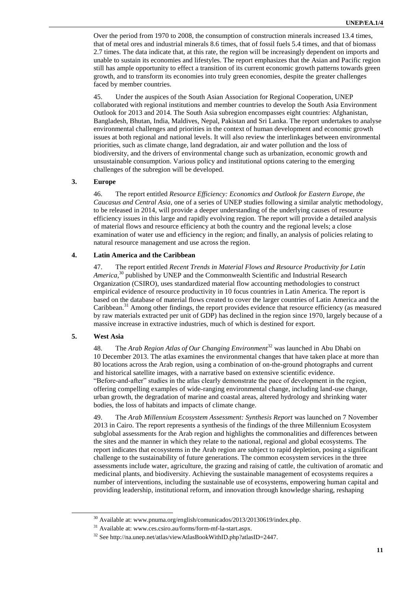Over the period from 1970 to 2008, the consumption of construction minerals increased 13.4 times, that of metal ores and industrial minerals 8.6 times, that of fossil fuels 5.4 times, and that of biomass 2.7 times. The data indicate that, at this rate, the region will be increasingly dependent on imports and unable to sustain its economies and lifestyles. The report emphasizes that the Asian and Pacific region still has ample opportunity to effect a transition of its current economic growth patterns towards green growth, and to transform its economies into truly green economies, despite the greater challenges faced by member countries.

45. Under the auspices of the South Asian Association for Regional Cooperation, UNEP collaborated with regional institutions and member countries to develop the South Asia Environment Outlook for 2013 and 2014. The South Asia subregion encompasses eight countries: Afghanistan, Bangladesh, Bhutan, India, Maldives, Nepal, Pakistan and Sri Lanka. The report undertakes to analyse environmental challenges and priorities in the context of human development and economic growth issues at both regional and national levels. It will also review the interlinkages between environmental priorities, such as climate change, land degradation, air and water pollution and the loss of biodiversity, and the drivers of environmental change such as urbanization, economic growth and unsustainable consumption. Various policy and institutional options catering to the emerging challenges of the subregion will be developed.

#### **3. Europe**

46. The report entitled *Resource Efficiency: Economics and Outlook for Eastern Europe, the Caucasus and Central Asia*, one of a series of UNEP studies following a similar analytic methodology, to be released in 2014, will provide a deeper understanding of the underlying causes of resource efficiency issues in this large and rapidly evolving region. The report will provide a detailed analysis of material flows and resource efficiency at both the country and the regional levels; a close examination of water use and efficiency in the region; and finally, an analysis of policies relating to natural resource management and use across the region.

#### **4. Latin America and the Caribbean**

47. The report entitled *Recent Trends in Material Flows and Resource Productivity for Latin*  America,<sup>30</sup> published by UNEP and the Commonwealth Scientific and Industrial Research Organization (CSIRO), uses standardized material flow accounting methodologies to construct empirical evidence of resource productivity in 10 focus countries in Latin America. The report is based on the database of material flows created to cover the larger countries of Latin America and the Caribbean. <sup>31</sup> Among other findings, the report provides evidence that resource efficiency (as measured by raw materials extracted per unit of GDP) has declined in the region since 1970, largely because of a massive increase in extractive industries, much of which is destined for export.

#### **5. West Asia**

 $\overline{a}$ 

48. The *Arab Region Atlas of Our Changing Environment*<sup>32</sup> was launched in Abu Dhabi on 10 December 2013. The atlas examines the environmental changes that have taken place at more than 80 locations across the Arab region, using a combination of on-the-ground photographs and current and historical satellite images, with a narrative based on extensive scientific evidence. "Before-and-after" studies in the atlas clearly demonstrate the pace of development in the region, offering compelling examples of wide-ranging environmental change, including land-use change, urban growth, the degradation of marine and coastal areas, altered hydrology and shrinking water bodies, the loss of habitats and impacts of climate change.

49. The *Arab Millennium Ecosystem Assessment: Synthesis Report* was launched on 7 November 2013 in Cairo. The report represents a synthesis of the findings of the three Millennium Ecosystem subglobal assessments for the Arab region and highlights the commonalities and differences between the sites and the manner in which they relate to the national, regional and global ecosystems. The report indicates that ecosystems in the Arab region are subject to rapid depletion, posing a significant challenge to the sustainability of future generations. The common ecosystem services in the three assessments include water, agriculture, the grazing and raising of cattle, the cultivation of aromatic and medicinal plants, and biodiversity. Achieving the sustainable management of ecosystems requires a number of interventions, including the sustainable use of ecosystems, empowering human capital and providing leadership, institutional reform, and innovation through knowledge sharing, reshaping

<sup>30</sup> Available at: [www.pnuma.org/english/comunicados/2013/20130619/index.php.](../www.pnuma.org/english/comunicados/2013/20130619/index.php)

<sup>31</sup> Available at: [www.ces.csiro.au/forms/form-mf-la-start.aspx.](../www.ces.csiro.au/forms/form-mf-la-start.aspx)

<sup>&</sup>lt;sup>32</sup> See http://na.unep.net/atlas/viewAtlasBookWithID.php?atlasID=2447.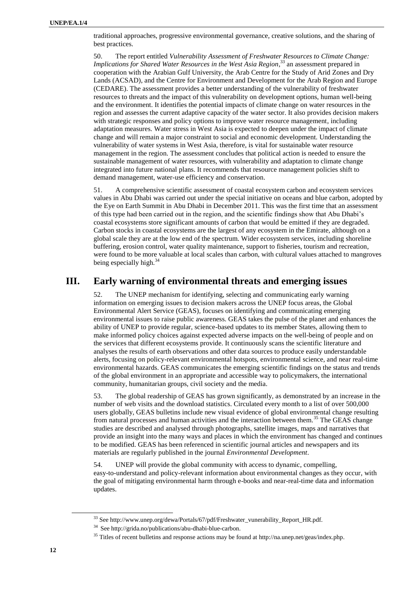traditional approaches, progressive environmental governance, creative solutions, and the sharing of best practices.

50. The report entitled *Vulnerability Assessment of Freshwater Resources to Climate Change: Implications for Shared Water Resources in the West Asia Region*, <sup>33</sup> an assessment prepared in cooperation with the Arabian Gulf University, the Arab Centre for the Study of Arid Zones and Dry Lands (ACSAD), and the Centre for Environment and Development for the Arab Region and Europe (CEDARE). The assessment provides a better understanding of the vulnerability of freshwater resources to threats and the impact of this vulnerability on development options, human well-being and the environment. It identifies the potential impacts of climate change on water resources in the region and assesses the current adaptive capacity of the water sector. It also provides decision makers with strategic responses and policy options to improve water resource management, including adaptation measures. Water stress in West Asia is expected to deepen under the impact of climate change and will remain a major constraint to social and economic development. Understanding the vulnerability of water systems in West Asia, therefore, is vital for sustainable water resource management in the region. The assessment concludes that political action is needed to ensure the sustainable management of water resources, with vulnerability and adaptation to climate change integrated into future national plans. It recommends that resource management policies shift to demand management, water-use efficiency and conservation.

51. A comprehensive scientific assessment of coastal ecosystem carbon and ecosystem services values in Abu Dhabi was carried out under the special initiative on oceans and blue carbon, adopted by the Eye on Earth Summit in Abu Dhabi in December 2011. This was the first time that an assessment of this type had been carried out in the region, and the scientific findings show that Abu Dhabi"s coastal ecosystems store significant amounts of carbon that would be emitted if they are degraded. Carbon stocks in coastal ecosystems are the largest of any ecosystem in the Emirate, although on a global scale they are at the low end of the spectrum. Wider ecosystem services, including shoreline buffering, erosion control, water quality maintenance, support to fisheries, tourism and recreation, were found to be more valuable at local scales than carbon, with cultural values attached to mangroves being especially high. $34$ 

# **III. Early warning of environmental threats and emerging issues**

52. The UNEP mechanism for identifying, selecting and communicating early warning information on emerging issues to decision makers across the UNEP focus areas, the Global Environmental Alert Service (GEAS), focuses on identifying and communicating emerging environmental issues to raise public awareness. GEAS takes the pulse of the planet and enhances the ability of UNEP to provide regular, science-based updates to its member States, allowing them to make informed policy choices against expected adverse impacts on the well-being of people and on the services that different ecosystems provide. It continuously scans the scientific literature and analyses the results of earth observations and other data sources to produce easily understandable alerts, focusing on policy-relevant environmental hotspots, environmental science, and near real-time environmental hazards. GEAS communicates the emerging scientific findings on the status and trends of the global environment in an appropriate and accessible way to policymakers, the international community, humanitarian groups, civil society and the media.

53. The global readership of GEAS has grown significantly, as demonstrated by an increase in the number of web visits and the download statistics. Circulated every month to a list of over 500,000 users globally, GEAS bulletins include new visual evidence of global environmental change resulting from natural processes and human activities and the interaction between them.<sup>35</sup> The GEAS change studies are described and analysed through photographs, satellite images, maps and narratives that provide an insight into the many ways and places in which the environment has changed and continues to be modified. GEAS has been referenced in scientific journal articles and newspapers and its materials are regularly published in the journal *Environmental Development*.

54. UNEP will provide the global community with access to dynamic, compelling, easy-to-understand and policy-relevant information about environmental changes as they occur, with the goal of mitigating environmental harm through e-books and near-real-time data and information updates.

<sup>&</sup>lt;sup>33</sup> See http://www.unep.org/dewa/Portals/67/pdf/Freshwater\_vunerability\_Report\_HR.pdf.

<sup>34</sup> See http://grida.no/publications/abu-dhabi-blue-carbon.

<sup>&</sup>lt;sup>35</sup> Titles of recent bulletins and response actions may be found a[t http://na.unep.net/geas/index.php.](http://na.unep.net/geas/index.php)